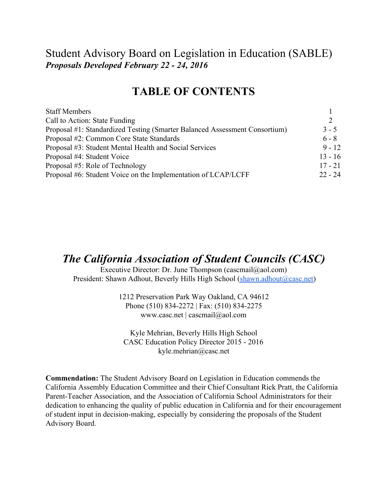## Student Advisory Board on Legislation in Education (SABLE) *Proposals Developed February 22 24, 2016*

# **TABLE OF CONTENTS**

| <b>Staff Members</b>                                                       |               |
|----------------------------------------------------------------------------|---------------|
| Call to Action: State Funding                                              | $\mathcal{L}$ |
| Proposal #1: Standardized Testing (Smarter Balanced Assessment Consortium) | $3 - 5$       |
| Proposal #2: Common Core State Standards                                   | $6 - 8$       |
| Proposal #3: Student Mental Health and Social Services                     | $9 - 12$      |
| Proposal #4: Student Voice                                                 | $13 - 16$     |
| Proposal #5: Role of Technology                                            | $17 - 21$     |
| Proposal #6: Student Voice on the Implementation of LCAP/LCFF              | $22 - 24$     |

## *The California Association of Student Councils (CASC)*

Executive Director: Dr. June Thompson (cascmail@aol.com) President: Shawn Adhout, Beverly Hills High School (shawn.adhout@casc.net)

> 1212 Preservation Park Way Oakland, CA 94612 Phone (510) 834-2272 | Fax: (510) 834-2275 www.casc.net | cascmail@aol.com

Kyle Mehrian, Beverly Hills High School CASC Education Policy Director 2015 - 2016 kyle.mehrian@casc.net

**Commendation:** The Student Advisory Board on Legislation in Education commends the California Assembly Education Committee and their Chief Consultant Rick Pratt, the California Parent-Teacher Association, and the Association of California School Administrators for their dedication to enhancing the quality of public education in California and for their encouragement of student input in decision-making, especially by considering the proposals of the Student Advisory Board.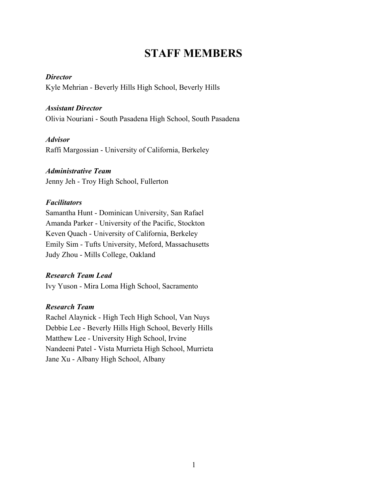# **STAFF MEMBERS**

#### *Director*

Kyle Mehrian - Beverly Hills High School, Beverly Hills

#### *Assistant Director*

Olivia Nouriani - South Pasadena High School, South Pasadena

#### *Advisor*

Raffi Margossian - University of California, Berkeley

#### *Administrative Team*

Jenny Jeh - Troy High School, Fullerton

#### *Facilitators*

Samantha Hunt - Dominican University, San Rafael Amanda Parker - University of the Pacific, Stockton Keven Quach - University of California, Berkeley Emily Sim - Tufts University, Meford, Massachusetts Judy Zhou - Mills College, Oakland

#### *Research Team Lead*

Ivy Yuson - Mira Loma High School, Sacramento

#### *Research Team*

Rachel Alaynick - High Tech High School, Van Nuys Debbie Lee - Beverly Hills High School, Beverly Hills Matthew Lee - University High School, Irvine Nandeeni Patel - Vista Murrieta High School, Murrieta Jane Xu - Albany High School, Albany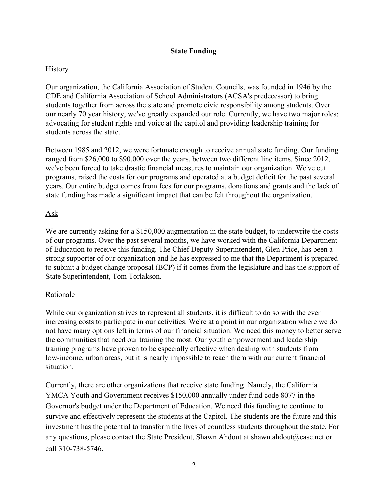#### **State Funding**

#### **History**

Our organization, the California Association of Student Councils, was founded in 1946 by the CDE and California Association of School Administrators (ACSA's predecessor) to bring students together from across the state and promote civic responsibility among students. Over our nearly 70 year history, we've greatly expanded our role. Currently, we have two major roles: advocating for student rights and voice at the capitol and providing leadership training for students across the state.

Between 1985 and 2012, we were fortunate enough to receive annual state funding. Our funding ranged from \$26,000 to \$90,000 over the years, between two different line items. Since 2012, we've been forced to take drastic financial measures to maintain our organization. We've cut programs, raised the costs for our programs and operated at a budget deficit for the past several years. Our entire budget comes from fees for our programs, donations and grants and the lack of state funding has made a significant impact that can be felt throughout the organization.

#### Ask

We are currently asking for a \$150,000 augmentation in the state budget, to underwrite the costs of our programs. Over the past several months, we have worked with the California Department of Education to receive this funding. The Chief Deputy Superintendent, Glen Price, has been a strong supporter of our organization and he has expressed to me that the Department is prepared to submit a budget change proposal (BCP) if it comes from the legislature and has the support of State Superintendent, Tom Torlakson.

#### Rationale

While our organization strives to represent all students, it is difficult to do so with the ever increasing costs to participate in our activities. We're at a point in our organization where we do not have many options left in terms of our financial situation. We need this money to better serve the communities that need our training the most. Our youth empowerment and leadership training programs have proven to be especially effective when dealing with students from low-income, urban areas, but it is nearly impossible to reach them with our current financial situation.

Currently, there are other organizations that receive state funding. Namely, the California YMCA Youth and Government receives \$150,000 annually under fund code 8077 in the Governor's budget under the Department of Education. We need this funding to continue to survive and effectively represent the students at the Capitol. The students are the future and this investment has the potential to transform the lives of countless students throughout the state. For any questions, please contact the State President, Shawn Ahdout at shawn.ahdout@casc.net or call 310-738-5746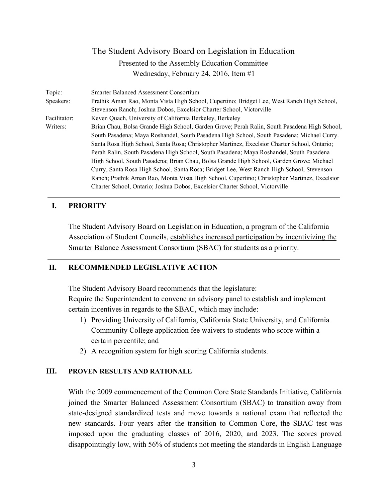| Topic:       | <b>Smarter Balanced Assessment Consortium</b>                                                |
|--------------|----------------------------------------------------------------------------------------------|
| Speakers:    | Prathik Aman Rao, Monta Vista High School, Cupertino; Bridget Lee, West Ranch High School,   |
|              | Stevenson Ranch; Joshua Dobos, Excelsior Charter School, Victorville                         |
| Facilitator: | Keven Quach, University of California Berkeley, Berkeley                                     |
| Writers:     | Brian Chau, Bolsa Grande High School, Garden Grove; Perah Ralin, South Pasadena High School, |
|              | South Pasadena; Maya Roshandel, South Pasadena High School, South Pasadena; Michael Curry.   |
|              | Santa Rosa High School, Santa Rosa; Christopher Martinez, Excelsior Charter School, Ontario; |
|              | Perah Ralin, South Pasadena High School, South Pasadena; Maya Roshandel, South Pasadena      |
|              | High School, South Pasadena; Brian Chau, Bolsa Grande High School, Garden Grove; Michael     |
|              | Curry, Santa Rosa High School, Santa Rosa; Bridget Lee, West Ranch High School, Stevenson    |
|              | Ranch; Prathik Aman Rao, Monta Vista High School, Cupertino; Christopher Martinez, Excelsior |
|              | Charter School, Ontario; Joshua Dobos, Excelsior Charter School, Victorville                 |

#### **I. PRIORITY**

The Student Advisory Board on Legislation in Education, a program of the California Association of Student Councils, establishes increased participation by incentivizing the Smarter Balance Assessment Consortium (SBAC) for students as a priority.

#### **II. RECOMMENDED LEGISLATIVE ACTION**

The Student Advisory Board recommends that the legislature:

Require the Superintendent to convene an advisory panel to establish and implement certain incentives in regards to the SBAC, which may include:

- 1) Providing University of California, California State University, and California Community College application fee waivers to students who score within a certain percentile; and
- 2) A recognition system for high scoring California students.

#### **III. PROVEN RESULTS AND RATIONALE**

With the 2009 commencement of the Common Core State Standards Initiative, California joined the Smarter Balanced Assessment Consortium (SBAC) to transition away from state-designed standardized tests and move towards a national exam that reflected the new standards. Four years after the transition to Common Core, the SBAC test was imposed upon the graduating classes of 2016, 2020, and 2023. The scores proved disappointingly low, with 56% of students not meeting the standards in English Language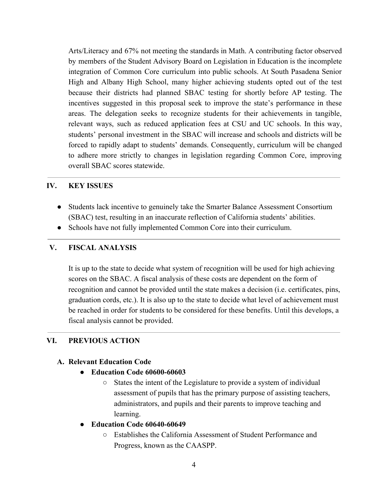Arts/Literacy and 67% not meeting the standards in Math. A contributing factor observed by members of the Student Advisory Board on Legislation in Education is the incomplete integration of Common Core curriculum into public schools. At South Pasadena Senior High and Albany High School, many higher achieving students opted out of the test because their districts had planned SBAC testing for shortly before AP testing. The incentives suggested in this proposal seek to improve the state's performance in these areas. The delegation seeks to recognize students for their achievements in tangible, relevant ways, such as reduced application fees at CSU and UC schools. In this way, students' personal investment in the SBAC will increase and schools and districts will be forced to rapidly adapt to students' demands. Consequently, curriculum will be changed to adhere more strictly to changes in legislation regarding Common Core, improving overall SBAC scores statewide.

#### **IV. KEY ISSUES**

- Students lack incentive to genuinely take the Smarter Balance Assessment Consortium (SBAC) test, resulting in an inaccurate reflection of California students' abilities.
- Schools have not fully implemented Common Core into their curriculum.

#### **V. FISCAL ANALYSIS**

It is up to the state to decide what system of recognition will be used for high achieving scores on the SBAC. A fiscal analysis of these costs are dependent on the form of recognition and cannot be provided until the state makes a decision (i.e. certificates, pins, graduation cords, etc.). It is also up to the state to decide what level of achievement must be reached in order for students to be considered for these benefits. Until this develops, a fiscal analysis cannot be provided.

#### **VI. PREVIOUS ACTION**

#### **A. Relevant Education Code**

- **Education Code 60600-60603** 
	- States the intent of the Legislature to provide a system of individual assessment of pupils that has the primary purpose of assisting teachers, administrators, and pupils and their parents to improve teaching and learning.
- **Education Code 60640-60649** 
	- Establishes the California Assessment of Student Performance and Progress, known as the CAASPP.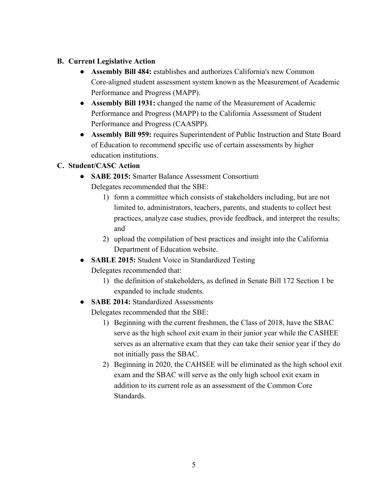### **B. Current Legislative Action**

- **Assembly Bill 484:** establishes and authorizes California's new Common Core-aligned student assessment system known as the Measurement of Academic Performance and Progress (MAPP).
- **Assembly Bill 1931:** changed the name of the Measurement of Academic Performance and Progress (MAPP) to the California Assessment of Student Performance and Progress (CAASPP).
- **Assembly Bill 959:** requires Superintendent of Public Instruction and State Board of Education to recommend specific use of certain assessments by higher education institutions.

## **C. Student/CASC Action**

- **● SABE 2015:** Smarter Balance Assessment Consortium Delegates recommended that the SBE:
	- 1) form a committee which consists of stakeholders including, but are not limited to, administrators, teachers, parents, and students to collect best practices, analyze case studies, provide feedback, and interpret the results; and
	- 2) upload the compilation of best practices and insight into the California Department of Education website.
- **SABLE 2015:** Student Voice in Standardized Testing
	- Delegates recommended that:
		- 1) the definition of stakeholders, as defined in Senate Bill 172 Section 1 be expanded to include students.
- **SABE 2014:** Standardized Assessments

Delegates recommended that the SBE:

- 1) Beginning with the current freshmen, the Class of 2018, have the SBAC serve as the high school exit exam in their junior year while the CASHEE serves as an alternative exam that they can take their senior year if they do not initially pass the SBAC.
- 2) Beginning in 2020, the CAHSEE will be eliminated as the high school exit exam and the SBAC will serve as the only high school exit exam in addition to its current role as an assessment of the Common Core **Standards**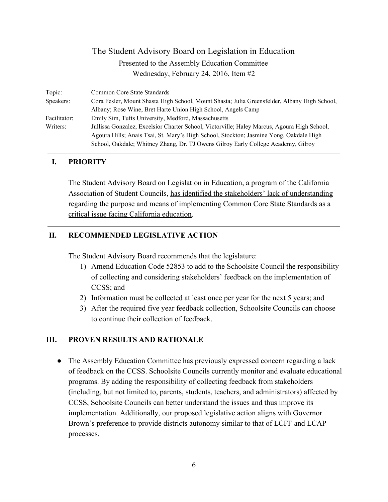| Topic:       | Common Core State Standards                                                                  |
|--------------|----------------------------------------------------------------------------------------------|
| Speakers:    | Cora Fesler, Mount Shasta High School, Mount Shasta; Julia Greensfelder, Albany High School, |
|              | Albany; Rose Wine, Bret Harte Union High School, Angels Camp                                 |
| Facilitator: | Emily Sim, Tufts University, Medford, Massachusetts                                          |
| Writers:     | Jullissa Gonzalez, Excelsior Charter School, Victorville; Haley Marcus, Agoura High School,  |
|              | Agoura Hills; Anais Tsai, St. Mary's High School, Stockton; Jasmine Yong, Oakdale High       |
|              | School, Oakdale; Whitney Zhang, Dr. TJ Owens Gilroy Early College Academy, Gilroy            |

#### **I. PRIORITY**

The Student Advisory Board on Legislation in Education, a program of the California Association of Student Councils, has identified the stakeholders' lack of understanding regarding the purpose and means of implementing Common Core State Standards as a critical issue facing California education.

#### **II. RECOMMENDED LEGISLATIVE ACTION**

The Student Advisory Board recommends that the legislature:

- 1) Amend Education Code 52853 to add to the Schoolsite Council the responsibility of collecting and considering stakeholders' feedback on the implementation of CCSS; and
- 2) Information must be collected at least once per year for the next 5 years; and
- 3) After the required five year feedback collection, Schoolsite Councils can choose to continue their collection of feedback.

#### **III. PROVEN RESULTS AND RATIONALE**

• The Assembly Education Committee has previously expressed concern regarding a lack of feedback on the CCSS. Schoolsite Councils currently monitor and evaluate educational programs. By adding the responsibility of collecting feedback from stakeholders (including, but not limited to, parents, students, teachers, and administrators) affected by CCSS, Schoolsite Councils can better understand the issues and thus improve its implementation. Additionally, our proposed legislative action aligns with Governor Brown's preference to provide districts autonomy similar to that of LCFF and LCAP processes.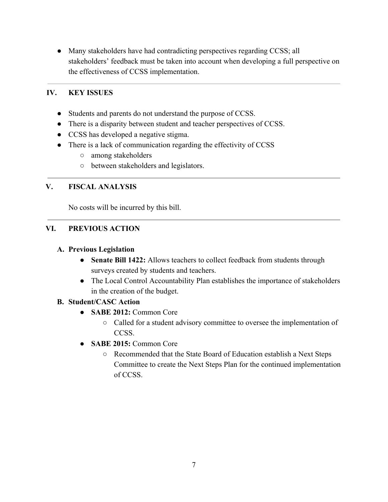• Many stakeholders have had contradicting perspectives regarding CCSS; all stakeholders' feedback must be taken into account when developing a full perspective on the effectiveness of CCSS implementation.

## **IV. KEY ISSUES**

- Students and parents do not understand the purpose of CCSS.
- There is a disparity between student and teacher perspectives of CCSS.
- CCSS has developed a negative stigma.
- There is a lack of communication regarding the effectivity of CCSS
	- among stakeholders
	- between stakeholders and legislators.

## **V. FISCAL ANALYSIS**

No costs will be incurred by this bill.

## **VI. PREVIOUS ACTION**

#### **A. Previous Legislation**

- **● Senate Bill 1422:** Allows teachers to collect feedback from students through surveys created by students and teachers.
- **●** The Local Control Accountability Plan establishes the importance of stakeholders in the creation of the budget.

#### **B. Student/CASC Action**

- **SABE 2012:** Common Core
	- Called for a student advisory committee to oversee the implementation of CCSS.
- **● SABE 2015:** Common Core
	- Recommended that the State Board of Education establish a Next Steps Committee to create the Next Steps Plan for the continued implementation of CCSS.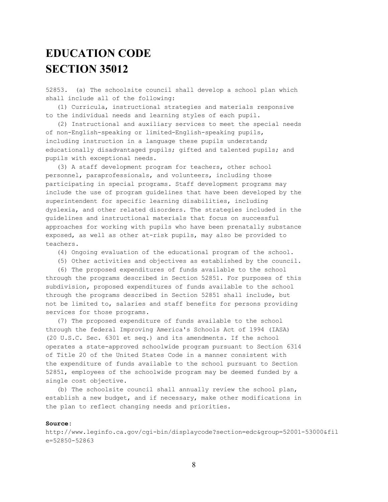# **EDUCATION CODE SECTION 35012**

52853. (a) The schoolsite council shall develop a school plan which shall include all of the following:

(1) Curricula, instructional strategies and materials responsive to the individual needs and learning styles of each pupil.

(2) Instructional and auxiliary services to meet the special needs of non-English-speaking or limited-English-speaking pupils, including instruction in a language these pupils understand; educationally disadvantaged pupils; gifted and talented pupils; and pupils with exceptional needs.

(3) A staff development program for teachers, other school personnel, paraprofessionals, and volunteers, including those participating in special programs. Staff development programs may include the use of program guidelines that have been developed by the superintendent for specific learning disabilities, including dyslexia, and other related disorders. The strategies included in the guidelines and instructional materials that focus on successful approaches for working with pupils who have been prenatally substance exposed, as well as other at-risk pupils, may also be provided to teachers.

- (4) Ongoing evaluation of the educational program of the school.
- (5) Other activities and objectives as established by the council.
- (6) The proposed expenditures of funds available to the school

through the programs described in Section 52851. For purposes of this subdivision, proposed expenditures of funds available to the school through the programs described in Section 52851 shall include, but not be limited to, salaries and staff benefits for persons providing services for those programs.

(7) The proposed expenditure of funds available to the school through the federal Improving America's Schools Act of 1994 (IASA) (20 U.S.C. Sec. 6301 et seq.) and its amendments. If the school operates a state-approved schoolwide program pursuant to Section 6314 of Title 20 of the United States Code in a manner consistent with the expenditure of funds available to the school pursuant to Section 52851, employees of the schoolwide program may be deemed funded by a single cost objective.

(b) The schoolsite council shall annually review the school plan, establish a new budget, and if necessary, make other modifications in the plan to reflect changing needs and priorities.

#### **Source:**

http://www.leginfo.ca.gov/cgi-bin/displaycode?section=edc&group=52001-53000&fil e=52850-52863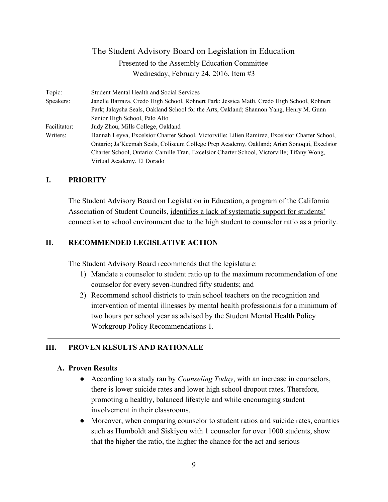| Topic:       | <b>Student Mental Health and Social Services</b>                                               |
|--------------|------------------------------------------------------------------------------------------------|
| Speakers:    | Janelle Barraza, Credo High School, Rohnert Park; Jessica Matli, Credo High School, Rohnert    |
|              | Park; Jalaysha Seals, Oakland School for the Arts, Oakland; Shannon Yang, Henry M. Gunn        |
|              | Senior High School, Palo Alto                                                                  |
| Facilitator: | Judy Zhou, Mills College, Oakland                                                              |
| Writers:     | Hannah Leyva, Excelsior Charter School, Victorville; Lilien Ramirez, Excelsior Charter School, |
|              | Ontario; Ja'Keemah Seals, Coliseum College Prep Academy, Oakland; Arian Sonoqui, Excelsion     |
|              | Charter School, Ontario; Camille Tran, Excelsior Charter School, Victorville; Tifany Wong,     |
|              | Virtual Academy, El Dorado                                                                     |
|              |                                                                                                |

#### **I. PRIORITY**

The Student Advisory Board on Legislation in Education, a program of the California Association of Student Councils, identifies a lack of systematic support for students' connection to school environment due to the high student to counselor ratio as a priority.

#### **II. RECOMMENDED LEGISLATIVE ACTION**

The Student Advisory Board recommends that the legislature:

- 1) Mandate a counselor to student ratio up to the maximum recommendation of one counselor for every seven-hundred fifty students; and
- 2) Recommend school districts to train school teachers on the recognition and intervention of mental illnesses by mental health professionals for a minimum of two hours per school year as advised by the Student Mental Health Policy Workgroup Policy Recommendations 1.

#### **III. PROVEN RESULTS AND RATIONALE**

#### **A. Proven Results**

- **●** According to a study ran by *Counseling Today*, with an increase in counselors, there is lower suicide rates and lower high school dropout rates. Therefore, promoting a healthy, balanced lifestyle and while encouraging student involvement in their classrooms.
- Moreover, when comparing counselor to student ratios and suicide rates, counties such as Humboldt and Siskiyou with 1 counselor for over 1000 students, show that the higher the ratio, the higher the chance for the act and serious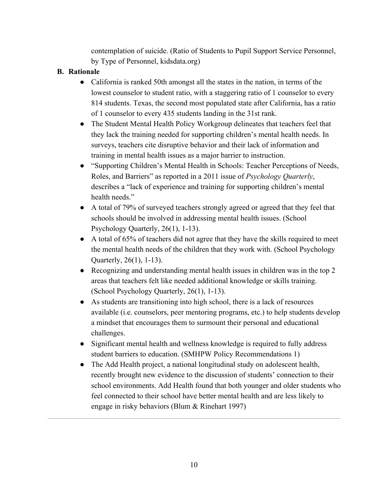contemplation of suicide. (Ratio of Students to Pupil Support Service Personnel, by Type of Personnel, kidsdata.org)

### **B. Rationale**

- California is ranked 50th amongst all the states in the nation, in terms of the lowest counselor to student ratio, with a staggering ratio of 1 counselor to every 814 students. Texas, the second most populated state after California, has a ratio of 1 counselor to every 435 students landing in the 31st rank.
- The Student Mental Health Policy Workgroup delineates that teachers feel that they lack the training needed for supporting children's mental health needs. In surveys, teachers cite disruptive behavior and their lack of information and training in mental health issues as a major barrier to instruction.
- "Supporting Children's Mental Health in Schools: Teacher Perceptions of Needs, Roles, and Barriers" as reported in a 2011 issue of *Psychology Quarterly*, describes a "lack of experience and training for supporting children's mental health needs."
- A total of 79% of surveyed teachers strongly agreed or agreed that they feel that schools should be involved in addressing mental health issues. (School Psychology Quarterly,  $26(1)$ , 1-13).
- $\bullet$  A total of 65% of teachers did not agree that they have the skills required to meet the mental health needs of the children that they work with. (School Psychology Quarterly,  $26(1)$ ,  $1-13$ ).
- Recognizing and understanding mental health issues in children was in the top 2 areas that teachers felt like needed additional knowledge or skills training. (School Psychology Quarterly,  $26(1)$ , 1-13).
- As students are transitioning into high school, there is a lack of resources available (i.e. counselors, peer mentoring programs, etc.) to help students develop a mindset that encourages them to surmount their personal and educational challenges.
- Significant mental health and wellness knowledge is required to fully address student barriers to education. (SMHPW Policy Recommendations 1)
- The Add Health project, a national longitudinal study on adolescent health, recently brought new evidence to the discussion of students' connection to their school environments. Add Health found that both younger and older students who feel connected to their school have better mental health and are less likely to engage in risky behaviors (Blum & Rinehart 1997)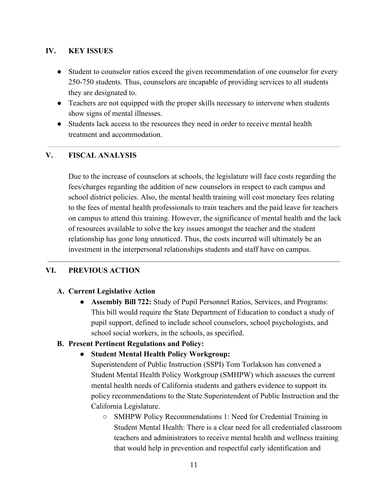#### **IV. KEY ISSUES**

- Student to counselor ratios exceed the given recommendation of one counselor for every 250-750 students. Thus, counselors are incapable of providing services to all students they are designated to.
- Teachers are not equipped with the proper skills necessary to intervene when students show signs of mental illnesses.
- Students lack access to the resources they need in order to receive mental health treatment and accommodation.

#### **V. FISCAL ANALYSIS**

Due to the increase of counselors at schools, the legislature will face costs regarding the fees/charges regarding the addition of new counselors in respect to each campus and school district policies. Also, the mental health training will cost monetary fees relating to the fees of mental health professionals to train teachers and the paid leave for teachers on campus to attend this training. However, the significance of mental health and the lack of resources available to solve the key issues amongst the teacher and the student relationship has gone long unnoticed. Thus, the costs incurred will ultimately be an investment in the interpersonal relationships students and staff have on campus.

#### **VI. PREVIOUS ACTION**

#### **A. Current Legislative Action**

● **Assembly Bill 722:** Study of Pupil Personnel Ratios, Services, and Programs: This bill would require the State Department of Education to conduct a study of pupil support, defined to include school counselors, school psychologists, and school social workers, in the schools, as specified.

#### **B. Present Pertinent Regulations and Policy:**

● **Student Mental Health Policy Workgroup:**

Superintendent of Public Instruction (SSPI) Tom Torlakson has convened a Student Mental Health Policy Workgroup (SMHPW) which assesses the current mental health needs of California students and gathers evidence to support its policy recommendations to the State Superintendent of Public Instruction and the California Legislature.

○ SMHPW Policy Recommendations 1: Need for Credential Training in Student Mental Health: There is a clear need for all credentialed classroom teachers and administrators to receive mental health and wellness training that would help in prevention and respectful early identification and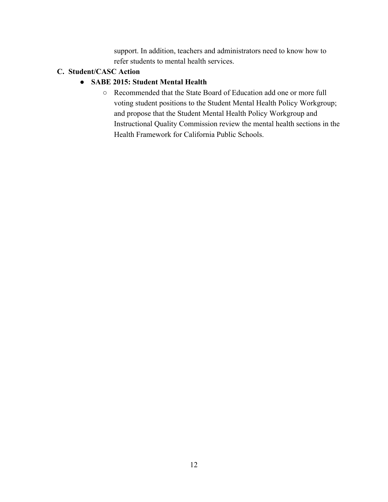support. In addition, teachers and administrators need to know how to refer students to mental health services.

#### **C. Student/CASC Action**

#### **● SABE 2015: Student Mental Health**

○ Recommended that the State Board of Education add one or more full voting student positions to the Student Mental Health Policy Workgroup; and propose that the Student Mental Health Policy Workgroup and Instructional Quality Commission review the mental health sections in the Health Framework for California Public Schools.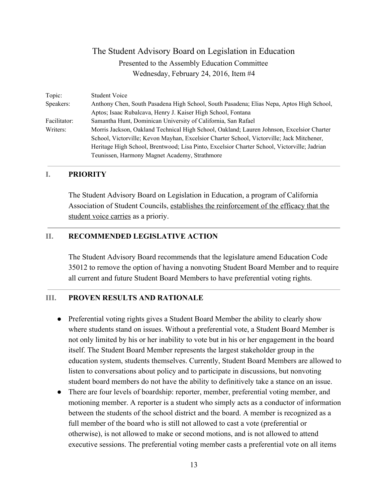| Topic:       | <b>Student Voice</b>                                                                        |
|--------------|---------------------------------------------------------------------------------------------|
| Speakers:    | Anthony Chen, South Pasadena High School, South Pasadena; Elias Nepa, Aptos High School,    |
|              | Aptos; Isaac Rubalcava, Henry J. Kaiser High School, Fontana                                |
| Facilitator: | Samantha Hunt, Dominican University of California, San Rafael                               |
| Writers:     | Morris Jackson, Oakland Technical High School, Oakland; Lauren Johnson, Excelsior Charter   |
|              | School, Victorville; Kevon Mayhan, Excelsior Charter School, Victorville; Jack Mitchener,   |
|              | Heritage High School, Brentwood; Lisa Pinto, Excelsior Charter School, Victorville; Jadrian |
|              | Teunissen, Harmony Magnet Academy, Strathmore                                               |

#### **I. PRIORITY**

The Student Advisory Board on Legislation in Education, a program of California Association of Student Councils, establishes the reinforcement of the efficacy that the student voice carries as a prioriy.

#### **II. RECOMMENDED LEGISLATIVE ACTION**

The Student Advisory Board recommends that the legislature amend Education Code 35012 to remove the option of having a nonvoting Student Board Member and to require all current and future Student Board Members to have preferential voting rights.

#### **III. PROVEN RESULTS AND RATIONALE**

- Preferential voting rights gives a Student Board Member the ability to clearly show where students stand on issues. Without a preferential vote, a Student Board Member is not only limited by his or her inability to vote but in his or her engagement in the board itself. The Student Board Member represents the largest stakeholder group in the education system, students themselves. Currently, Student Board Members are allowed to listen to conversations about policy and to participate in discussions, but nonvoting student board members do not have the ability to definitively take a stance on an issue.
- There are four levels of boardship: reporter, member, preferential voting member, and motioning member. A reporter is a student who simply acts as a conductor of information between the students of the school district and the board. A member is recognized as a full member of the board who is still not allowed to cast a vote (preferential or otherwise), is not allowed to make or second motions, and is not allowed to attend executive sessions. The preferential voting member casts a preferential vote on all items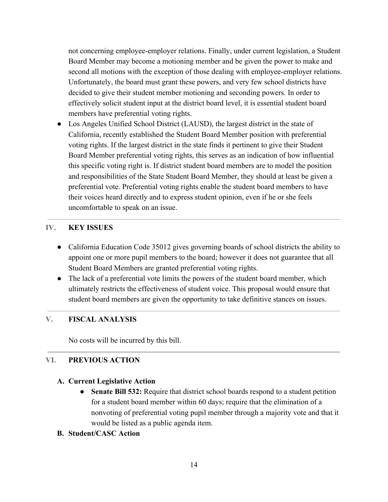not concerning employee-employer relations. Finally, under current legislation, a Student Board Member may become a motioning member and be given the power to make and second all motions with the exception of those dealing with employee-employer relations. Unfortunately, the board must grant these powers, and very few school districts have decided to give their student member motioning and seconding powers. In order to effectively solicit student input at the district board level, it is essential student board members have preferential voting rights.

• Los Angeles Unified School District (LAUSD), the largest district in the state of California, recently established the Student Board Member position with preferential voting rights. If the largest district in the state finds it pertinent to give their Student Board Member preferential voting rights, this serves as an indication of how influential this specific voting right is. If district student board members are to model the position and responsibilities of the State Student Board Member, they should at least be given a preferential vote. Preferential voting rights enable the student board members to have their voices heard directly and to express student opinion, even if he or she feels uncomfortable to speak on an issue.

#### **IV. KEY ISSUES**

- California Education Code 35012 gives governing boards of school districts the ability to appoint one or more pupil members to the board; however it does not guarantee that all Student Board Members are granted preferential voting rights.
- The lack of a preferential vote limits the powers of the student board member, which ultimately restricts the effectiveness of student voice. This proposal would ensure that student board members are given the opportunity to take definitive stances on issues.

#### **V. FISCAL ANALYSIS**

No costs will be incurred by this bill.

#### **VI. PREVIOUS ACTION**

#### **A. Current Legislative Action**

● **Senate Bill 532:** Require that district school boards respond to a student petition for a student board member within 60 days; require that the elimination of a nonvoting of preferential voting pupil member through a majority vote and that it would be listed as a public agenda item.

#### **B. Student/CASC Action**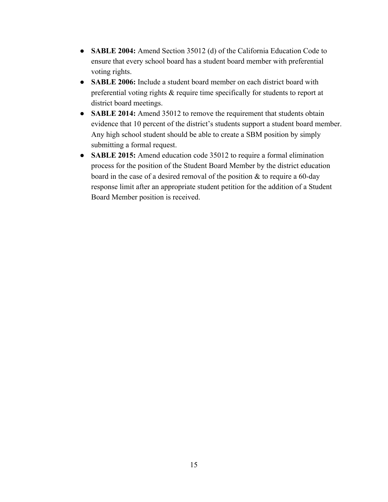- **SABLE 2004:** Amend Section 35012 (d) of the California Education Code to ensure that every school board has a student board member with preferential voting rights.
- **SABLE 2006:** Include a student board member on each district board with preferential voting rights & require time specifically for students to report at district board meetings.
- **SABLE 2014:** Amend 35012 to remove the requirement that students obtain evidence that 10 percent of the district's students support a student board member. Any high school student should be able to create a SBM position by simply submitting a formal request.
- **SABLE 2015:** Amend education code 35012 to require a formal elimination process for the position of the Student Board Member by the district education board in the case of a desired removal of the position  $\&$  to require a 60-day response limit after an appropriate student petition for the addition of a Student Board Member position is received.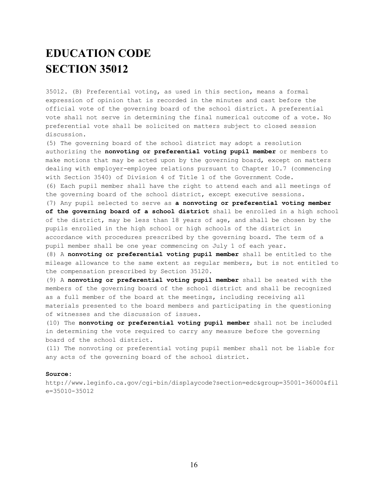# **EDUCATION CODE SECTION 35012**

35012. (B) Preferential voting, as used in this section, means a formal expression of opinion that is recorded in the minutes and cast before the official vote of the governing board of the school district. A preferential vote shall not serve in determining the final numerical outcome of a vote. No preferential vote shall be solicited on matters subject to closed session discussion.

(5) The governing board of the school district may adopt a resolution authorizing the **nonvoting or preferential voting pupil member** or members to make motions that may be acted upon by the governing board, except on matters dealing with employer-employee relations pursuant to Chapter 10.7 (commencing with Section 3540) of Division 4 of Title 1 of the Government Code. (6) Each pupil member shall have the right to attend each and all meetings of the governing board of the school district, except executive sessions.

(7) Any pupil selected to serve as **a nonvoting or preferential voting member of the governing board of a school district** shall be enrolled in a high school of the district, may be less than 18 years of age, and shall be chosen by the pupils enrolled in the high school or high schools of the district in accordance with procedures prescribed by the governing board. The term of a pupil member shall be one year commencing on July 1 of each year.

(8) A **nonvoting or preferential voting pupil member** shall be entitled to the mileage allowance to the same extent as regular members, but is not entitled to the compensation prescribed by Section 35120.

(9) A **nonvoting or preferential voting pupil member** shall be seated with the members of the governing board of the school district and shall be recognized as a full member of the board at the meetings, including receiving all materials presented to the board members and participating in the questioning of witnesses and the discussion of issues.

(10) The **nonvoting or preferential voting pupil member** shall not be included in determining the vote required to carry any measure before the governing board of the school district.

(11) The nonvoting or preferential voting pupil member shall not be liable for any acts of the governing board of the school district.

#### **Source:**

http://www.leginfo.ca.gov/cgi-bin/displaycode?section=edc&group=35001-36000&fil e=35010-35012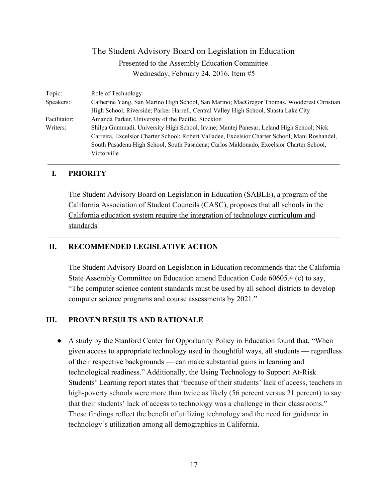| Topic:       | Role of Technology                                                                             |
|--------------|------------------------------------------------------------------------------------------------|
| Speakers:    | Catherine Yang, San Marino High School, San Marino; MacGregor Thomas, Woodcrest Christian      |
|              | High School, Riverside; Parker Harrell, Central Valley High School, Shasta Lake City           |
| Facilitator: | Amanda Parker, University of the Pacific, Stockton                                             |
| Writers:     | Shilpa Gummadi, University High School, Irvine; Mantej Panesar, Leland High School; Nick       |
|              | Carreira, Excelsior Charter School; Robert Valladee, Excelsior Charter School; Mani Roshandel, |
|              | South Pasadena High School, South Pasadena; Carlos Maldonado, Excelsior Charter School,        |
|              | Victorville                                                                                    |
|              |                                                                                                |

#### **I. PRIORITY**

The Student Advisory Board on Legislation in Education (SABLE), a program of the California Association of Student Councils (CASC), proposes that all schools in the California education system require the integration of technology curriculum and standards.

#### **II. RECOMMENDED LEGISLATIVE ACTION**

The Student Advisory Board on Legislation in Education recommends that the California State Assembly Committee on Education amend Education Code 60605.4 (c) to say, "The computer science content standards must be used by all school districts to develop computer science programs and course assessments by 2021."

#### **III. PROVEN RESULTS AND RATIONALE**

● A study by the Stanford Center for Opportunity Policy in Education found that, "When given access to appropriate technology used in thoughtful ways, all students — regardless of their respective backgrounds — can make substantial gains in learning and technological readiness." Additionally, the Using Technology to Support At-Risk Students' Learning report states that "because of their students' lack of access, teachers in high-poverty schools were more than twice as likely (56 percent versus 21 percent) to say that their students' lack of access to technology was a challenge in their classrooms." These findings reflect the benefit of utilizing technology and the need for guidance in technology's utilization among all demographics in California.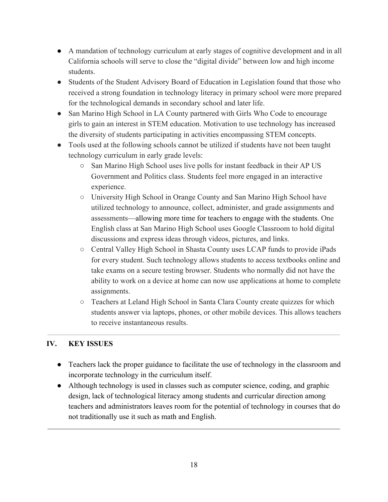- A mandation of technology curriculum at early stages of cognitive development and in all California schools will serve to close the "digital divide" between low and high income students.
- Students of the Student Advisory Board of Education in Legislation found that those who received a strong foundation in technology literacy in primary school were more prepared for the technological demands in secondary school and later life.
- San Marino High School in LA County partnered with Girls Who Code to encourage girls to gain an interest in STEM education. Motivation to use technology has increased the diversity of students participating in activities encompassing STEM concepts.
- Tools used at the following schools cannot be utilized if students have not been taught technology curriculum in early grade levels:
	- San Marino High School uses live polls for instant feedback in their AP US Government and Politics class. Students feel more engaged in an interactive experience.
	- University High School in Orange County and San Marino High School have utilized technology to announce, collect, administer, and grade assignments and assessments—allowing more time for teachers to engage with the students. One English class at San Marino High School uses Google Classroom to hold digital discussions and express ideas through videos, pictures, and links.
	- Central Valley High School in Shasta County uses LCAP funds to provide iPads for every student. Such technology allows students to access textbooks online and take exams on a secure testing browser. Students who normally did not have the ability to work on a device at home can now use applications at home to complete assignments.
	- Teachers at Leland High School in Santa Clara County create quizzes for which students answer via laptops, phones, or other mobile devices. This allows teachers to receive instantaneous results.

## **IV. KEY ISSUES**

- Teachers lack the proper guidance to facilitate the use of technology in the classroom and incorporate technology in the curriculum itself.
- Although technology is used in classes such as computer science, coding, and graphic design, lack of technological literacy among students and curricular direction among teachers and administrators leaves room for the potential of technology in courses that do not traditionally use it such as math and English.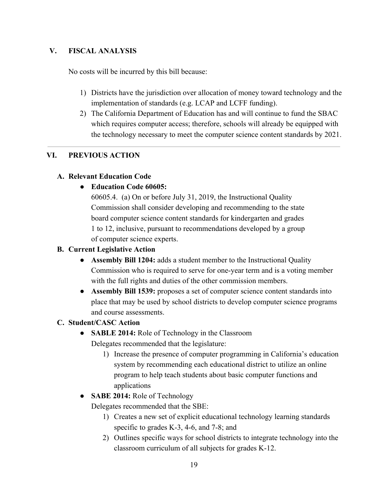#### **V. FISCAL ANALYSIS**

No costs will be incurred by this bill because:

- 1) Districts have the jurisdiction over allocation of money toward technology and the implementation of standards (e.g. LCAP and LCFF funding).
- 2) The California Department of Education has and will continue to fund the SBAC which requires computer access; therefore, schools will already be equipped with the technology necessary to meet the computer science content standards by 2021.

#### **VI. PREVIOUS ACTION**

#### **A. Relevant Education Code**

#### **● Education Code 60605:**

60605.4. (a) On or before July 31, 2019, the Instructional Quality Commission shall consider developing and recommending to the state board computer science content standards for kindergarten and grades 1 to 12, inclusive, pursuant to recommendations developed by a group of computer science experts.

#### **B. Current Legislative Action**

- **Assembly Bill 1204:** adds a student member to the Instructional Quality Commission who is required to serve for one-year term and is a voting member with the full rights and duties of the other commission members.
- **Assembly Bill 1539:** proposes a set of computer science content standards into place that may be used by school districts to develop computer science programs and course assessments.

#### **C. Student/CASC Action**

- **● SABLE 2014:** Role of Technology in the Classroom Delegates recommended that the legislature:
	- 1) Increase the presence of computer programming in California's education system by recommending each educational district to utilize an online program to help teach students about basic computer functions and applications
- **● SABE 2014:** Role of Technology

Delegates recommended that the SBE:

- 1) Creates a new set of explicit educational technology learning standards specific to grades  $K-3$ , 4-6, and 7-8; and
- 2) Outlines specific ways for school districts to integrate technology into the classroom curriculum of all subjects for grades K-12.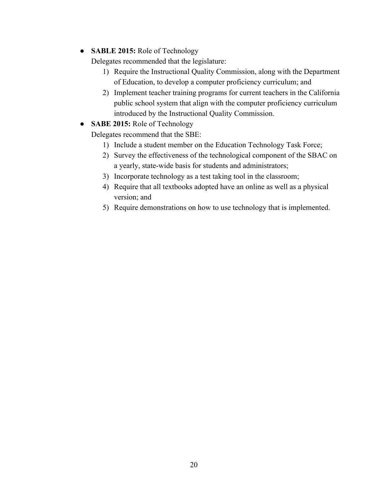● **SABLE 2015:** Role of Technology

Delegates recommended that the legislature:

- 1) Require the Instructional Quality Commission, along with the Department of Education, to develop a computer proficiency curriculum; and
- 2) Implement teacher training programs for current teachers in the California public school system that align with the computer proficiency curriculum introduced by the Instructional Quality Commission.
- **SABE 2015:** Role of Technology

Delegates recommend that the SBE:

- 1) Include a student member on the Education Technology Task Force;
- 2) Survey the effectiveness of the technological component of the SBAC on a yearly, state-wide basis for students and administrators;
- 3) Incorporate technology as a test taking tool in the classroom;
- 4) Require that all textbooks adopted have an online as well as a physical version; and
- 5) Require demonstrations on how to use technology that is implemented.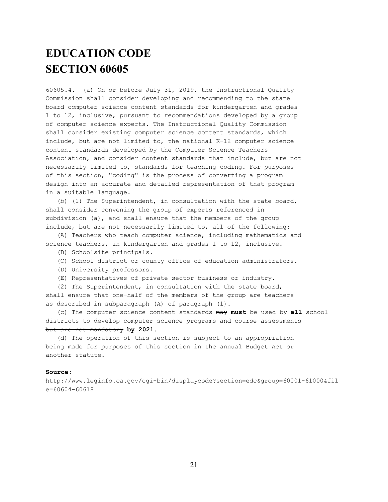# **EDUCATION CODE SECTION 60605**

60605.4. (a) On or before July 31, 2019, the Instructional Quality Commission shall consider developing and recommending to the state board computer science content standards for kindergarten and grades 1 to 12, inclusive, pursuant to recommendations developed by a group of computer science experts. The Instructional Quality Commission shall consider existing computer science content standards, which include, but are not limited to, the national  $K-12$  computer science content standards developed by the Computer Science Teachers Association, and consider content standards that include, but are not necessarily limited to, standards for teaching coding. For purposes of this section, "coding" is the process of converting a program design into an accurate and detailed representation of that program in a suitable language.

(b) (1) The Superintendent, in consultation with the state board, shall consider convening the group of experts referenced in subdivision (a), and shall ensure that the members of the group include, but are not necessarily limited to, all of the following:

(A) Teachers who teach computer science, including mathematics and science teachers, in kindergarten and grades 1 to 12, inclusive.

- (B) Schoolsite principals.
- (C) School district or county office of education administrators.
- (D) University professors.
- (E) Representatives of private sector business or industry.

(2) The Superintendent, in consultation with the state board, shall ensure that one-half of the members of the group are teachers as described in subparagraph (A) of paragraph (1).

(c) The computer science content standards may **must** be used by **all** school districts to develop computer science programs and course assessments but are not mandatory **by 2021**.

(d) The operation of this section is subject to an appropriation being made for purposes of this section in the annual Budget Act or another statute.

#### **Source:**

http://www.leginfo.ca.gov/cgi-bin/displaycode?section=edc&group=60001-61000&fil  $e=60604-60618$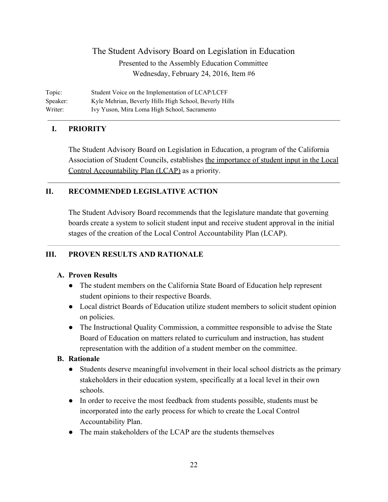Topic: Student Voice on the Implementation of LCAP/LCFF Speaker: Kyle Mehrian, Beverly Hills High School, Beverly Hills Writer: Ivy Yuson, Mira Loma High School, Sacramento

#### **I. PRIORITY**

The Student Advisory Board on Legislation in Education, a program of the California Association of Student Councils, establishes the importance of student input in the Local Control Accountability Plan (LCAP) as a priority.

#### **II. RECOMMENDED LEGISLATIVE ACTION**

The Student Advisory Board recommends that the legislature mandate that governing boards create a system to solicit student input and receive student approval in the initial stages of the creation of the Local Control Accountability Plan (LCAP).

#### **III. PROVEN RESULTS AND RATIONALE**

#### **A. Proven Results**

- The student members on the California State Board of Education help represent student opinions to their respective Boards.
- Local district Boards of Education utilize student members to solicit student opinion on policies.
- The Instructional Quality Commission, a committee responsible to advise the State Board of Education on matters related to curriculum and instruction, has student representation with the addition of a student member on the committee.

#### **B. Rationale**

- Students deserve meaningful involvement in their local school districts as the primary stakeholders in their education system, specifically at a local level in their own schools.
- In order to receive the most feedback from students possible, students must be incorporated into the early process for which to create the Local Control Accountability Plan.
- The main stakeholders of the LCAP are the students themselves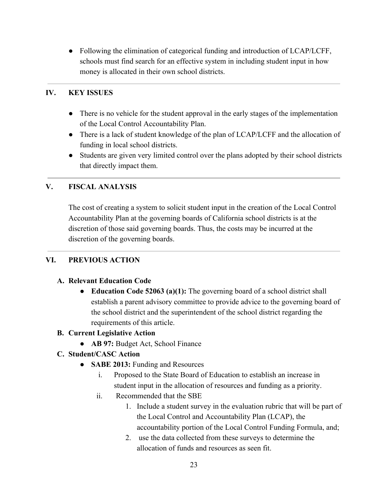● Following the elimination of categorical funding and introduction of LCAP/LCFF, schools must find search for an effective system in including student input in how money is allocated in their own school districts.

## **IV. KEY ISSUES**

- There is no vehicle for the student approval in the early stages of the implementation of the Local Control Accountability Plan.
- There is a lack of student knowledge of the plan of LCAP/LCFF and the allocation of funding in local school districts.
- Students are given very limited control over the plans adopted by their school districts that directly impact them.

## **V. FISCAL ANALYSIS**

The cost of creating a system to solicit student input in the creation of the Local Control Accountability Plan at the governing boards of California school districts is at the discretion of those said governing boards. Thus, the costs may be incurred at the discretion of the governing boards.

#### **VI. PREVIOUS ACTION**

#### **A. Relevant Education Code**

● **Education Code 52063 (a)(1):** The governing board of a school district shall establish a parent advisory committee to provide advice to the governing board of the school district and the superintendent of the school district regarding the requirements of this article.

#### **B. Current Legislative Action**

● **AB 97:** Budget Act, School Finance

## **C. Student/CASC Action**

- **● SABE 2013:** Funding and Resources
	- i. Proposed to the State Board of Education to establish an increase in student input in the allocation of resources and funding as a priority.
	- ii. Recommended that the SBE
		- 1. Include a student survey in the evaluation rubric that will be part of the Local Control and Accountability Plan (LCAP), the accountability portion of the Local Control Funding Formula, and;
		- 2. use the data collected from these surveys to determine the allocation of funds and resources as seen fit.